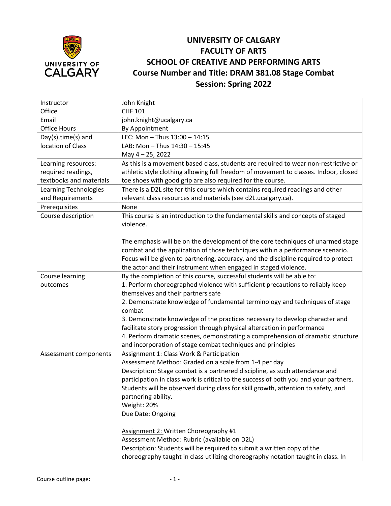

## **UNIVERSITY OF CALGARY FACULTY OF ARTS SCHOOL OF CREATIVE AND PERFORMING ARTS Course Number and Title: DRAM 381.08 Stage Combat Session: Spring 2022**

| Instructor              | John Knight                                                                           |
|-------------------------|---------------------------------------------------------------------------------------|
| Office                  | <b>CHF 101</b>                                                                        |
| Email                   | john.knight@ucalgary.ca                                                               |
| <b>Office Hours</b>     | By Appointment                                                                        |
| Day(s), time(s) and     | LEC: Mon - Thus 13:00 - 14:15                                                         |
| location of Class       | LAB: Mon - Thus 14:30 - 15:45                                                         |
|                         | May 4-25, 2022                                                                        |
| Learning resources:     | As this is a movement based class, students are required to wear non-restrictive or   |
| required readings,      | athletic style clothing allowing full freedom of movement to classes. Indoor, closed  |
| textbooks and materials | toe shoes with good grip are also required for the course.                            |
| Learning Technologies   | There is a D2L site for this course which contains required readings and other        |
| and Requirements        | relevant class resources and materials (see d2L.ucalgary.ca).                         |
| Prerequisites           | None                                                                                  |
| Course description      | This course is an introduction to the fundamental skills and concepts of staged       |
|                         | violence.                                                                             |
|                         |                                                                                       |
|                         | The emphasis will be on the development of the core techniques of unarmed stage       |
|                         | combat and the application of those techniques within a performance scenario.         |
|                         | Focus will be given to partnering, accuracy, and the discipline required to protect   |
|                         | the actor and their instrument when engaged in staged violence.                       |
| Course learning         | By the completion of this course, successful students will be able to:                |
| outcomes                | 1. Perform choreographed violence with sufficient precautions to reliably keep        |
|                         | themselves and their partners safe                                                    |
|                         | 2. Demonstrate knowledge of fundamental terminology and techniques of stage           |
|                         | combat                                                                                |
|                         | 3. Demonstrate knowledge of the practices necessary to develop character and          |
|                         | facilitate story progression through physical altercation in performance              |
|                         | 4. Perform dramatic scenes, demonstrating a comprehension of dramatic structure       |
|                         | and incorporation of stage combat techniques and principles                           |
| Assessment components   | Assignment 1: Class Work & Participation                                              |
|                         | Assessment Method: Graded on a scale from 1-4 per day                                 |
|                         | Description: Stage combat is a partnered discipline, as such attendance and           |
|                         | participation in class work is critical to the success of both you and your partners. |
|                         | Students will be observed during class for skill growth, attention to safety, and     |
|                         | partnering ability.                                                                   |
|                         | Weight: 20%                                                                           |
|                         | Due Date: Ongoing                                                                     |
|                         |                                                                                       |
|                         | Assignment 2: Written Choreography #1                                                 |
|                         | Assessment Method: Rubric (available on D2L)                                          |
|                         | Description: Students will be required to submit a written copy of the                |
|                         | choreography taught in class utilizing choreography notation taught in class. In      |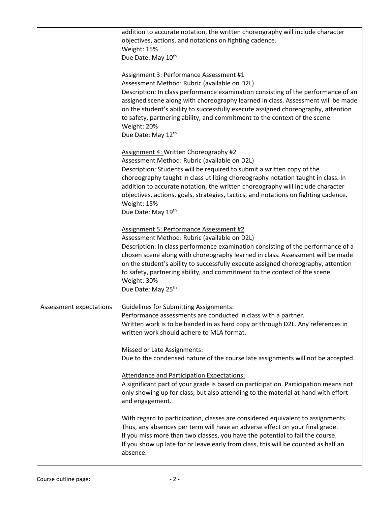|                         | addition to accurate notation, the written choreography will include character<br>objectives, actions, and notations on fighting cadence.<br>Weight: 15%<br>Due Date: May 10th                                                                                                                                                                                                                                                                                                    |
|-------------------------|-----------------------------------------------------------------------------------------------------------------------------------------------------------------------------------------------------------------------------------------------------------------------------------------------------------------------------------------------------------------------------------------------------------------------------------------------------------------------------------|
|                         | Assignment 3: Performance Assessment #1<br>Assessment Method: Rubric (available on D2L)<br>Description: In class performance examination consisting of the performance of an<br>assigned scene along with choreography learned in class. Assessment will be made<br>on the student's ability to successfully execute assigned choreography, attention<br>to safety, partnering ability, and commitment to the context of the scene.<br>Weight: 20%<br>Due Date: May 12th          |
|                         | Assignment 4: Written Choreography #2<br>Assessment Method: Rubric (available on D2L)<br>Description: Students will be required to submit a written copy of the<br>choreography taught in class utilizing choreography notation taught in class. In<br>addition to accurate notation, the written choreography will include character<br>objectives, actions, goals, strategies, tactics, and notations on fighting cadence.<br>Weight: 15%<br>Due Date: May 19th                 |
|                         | Assignment 5: Performance Assessment #2<br>Assessment Method: Rubric (available on D2L)<br>Description: In class performance examination consisting of the performance of a<br>chosen scene along with choreography learned in class. Assessment will be made<br>on the student's ability to successfully execute assigned choreography, attention<br>to safety, partnering ability, and commitment to the context of the scene.<br>Weight: 30%<br>Due Date: May 25 <sup>th</sup> |
| Assessment expectations | <b>Guidelines for Submitting Assignments:</b><br>Performance assessments are conducted in class with a partner.<br>Written work is to be handed in as hard copy or through D2L. Any references in<br>written work should adhere to MLA format.                                                                                                                                                                                                                                    |
|                         | <b>Missed or Late Assignments:</b><br>Due to the condensed nature of the course late assignments will not be accepted.<br>Attendance and Participation Expectations:<br>A significant part of your grade is based on participation. Participation means not                                                                                                                                                                                                                       |
|                         | only showing up for class, but also attending to the material at hand with effort<br>and engagement.<br>With regard to participation, classes are considered equivalent to assignments.                                                                                                                                                                                                                                                                                           |
|                         | Thus, any absences per term will have an adverse effect on your final grade.<br>If you miss more than two classes, you have the potential to fail the course.<br>If you show up late for or leave early from class, this will be counted as half an<br>absence.                                                                                                                                                                                                                   |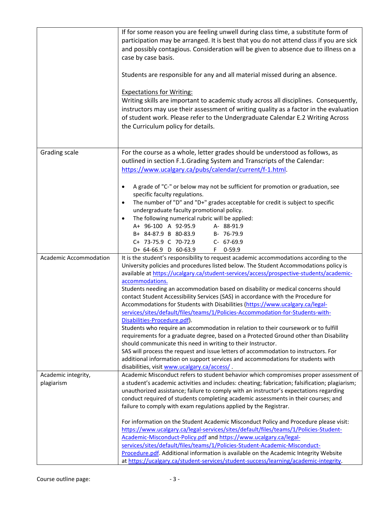|                                   | If for some reason you are feeling unwell during class time, a substitute form of<br>participation may be arranged. It is best that you do not attend class if you are sick<br>and possibly contagious. Consideration will be given to absence due to illness on a<br>case by case basis.<br>Students are responsible for any and all material missed during an absence.<br><b>Expectations for Writing:</b><br>Writing skills are important to academic study across all disciplines. Consequently,<br>instructors may use their assessment of writing quality as a factor in the evaluation<br>of student work. Please refer to the Undergraduate Calendar E.2 Writing Across<br>the Curriculum policy for details.                                                                                                                                                                                                                                                                                                                                                                                                                               |
|-----------------------------------|-----------------------------------------------------------------------------------------------------------------------------------------------------------------------------------------------------------------------------------------------------------------------------------------------------------------------------------------------------------------------------------------------------------------------------------------------------------------------------------------------------------------------------------------------------------------------------------------------------------------------------------------------------------------------------------------------------------------------------------------------------------------------------------------------------------------------------------------------------------------------------------------------------------------------------------------------------------------------------------------------------------------------------------------------------------------------------------------------------------------------------------------------------|
| Grading scale                     | For the course as a whole, letter grades should be understood as follows, as<br>outlined in section F.1.Grading System and Transcripts of the Calendar:<br>https://www.ucalgary.ca/pubs/calendar/current/f-1.html.<br>A grade of "C-" or below may not be sufficient for promotion or graduation, see<br>$\bullet$<br>specific faculty regulations.<br>The number of "D" and "D+" grades acceptable for credit is subject to specific<br>$\bullet$<br>undergraduate faculty promotional policy.<br>The following numerical rubric will be applied:<br>$\bullet$<br>A+ 96-100 A 92-95.9<br>A- 88-91.9<br>B+ 84-87.9 B 80-83.9<br>B- 76-79.9<br>C+ 73-75.9 C 70-72.9<br>C- 67-69.9<br>D+ 64-66.9 D 60-63.9<br>$0 - 59.9$<br>F.                                                                                                                                                                                                                                                                                                                                                                                                                        |
| <b>Academic Accommodation</b>     | It is the student's responsibility to request academic accommodations according to the<br>University policies and procedures listed below. The Student Accommodations policy is<br>available at https://ucalgary.ca/student-services/access/prospective-students/academic-<br>accommodations.<br>Students needing an accommodation based on disability or medical concerns should<br>contact Student Accessibility Services (SAS) in accordance with the Procedure for<br>Accommodations for Students with Disabilities (https://www.ucalgary.ca/legal-<br>services/sites/default/files/teams/1/Policies-Accommodation-for-Students-with-<br>Disabilities-Procedure.pdf).<br>Students who require an accommodation in relation to their coursework or to fulfill<br>requirements for a graduate degree, based on a Protected Ground other than Disability<br>should communicate this need in writing to their Instructor.<br>SAS will process the request and issue letters of accommodation to instructors. For<br>additional information on support services and accommodations for students with<br>disabilities, visit www.ucalgary.ca/access/. |
| Academic integrity,<br>plagiarism | Academic Misconduct refers to student behavior which compromises proper assessment of<br>a student's academic activities and includes: cheating; fabrication; falsification; plagiarism;<br>unauthorized assistance; failure to comply with an instructor's expectations regarding<br>conduct required of students completing academic assessments in their courses; and<br>failure to comply with exam regulations applied by the Registrar.<br>For information on the Student Academic Misconduct Policy and Procedure please visit:<br>https://www.ucalgary.ca/legal-services/sites/default/files/teams/1/Policies-Student-<br>Academic-Misconduct-Policy.pdf and https://www.ucalgary.ca/legal-<br>services/sites/default/files/teams/1/Policies-Student-Academic-Misconduct-<br>Procedure.pdf. Additional information is available on the Academic Integrity Website<br>at https://ucalgary.ca/student-services/student-success/learning/academic-integrity.                                                                                                                                                                                   |